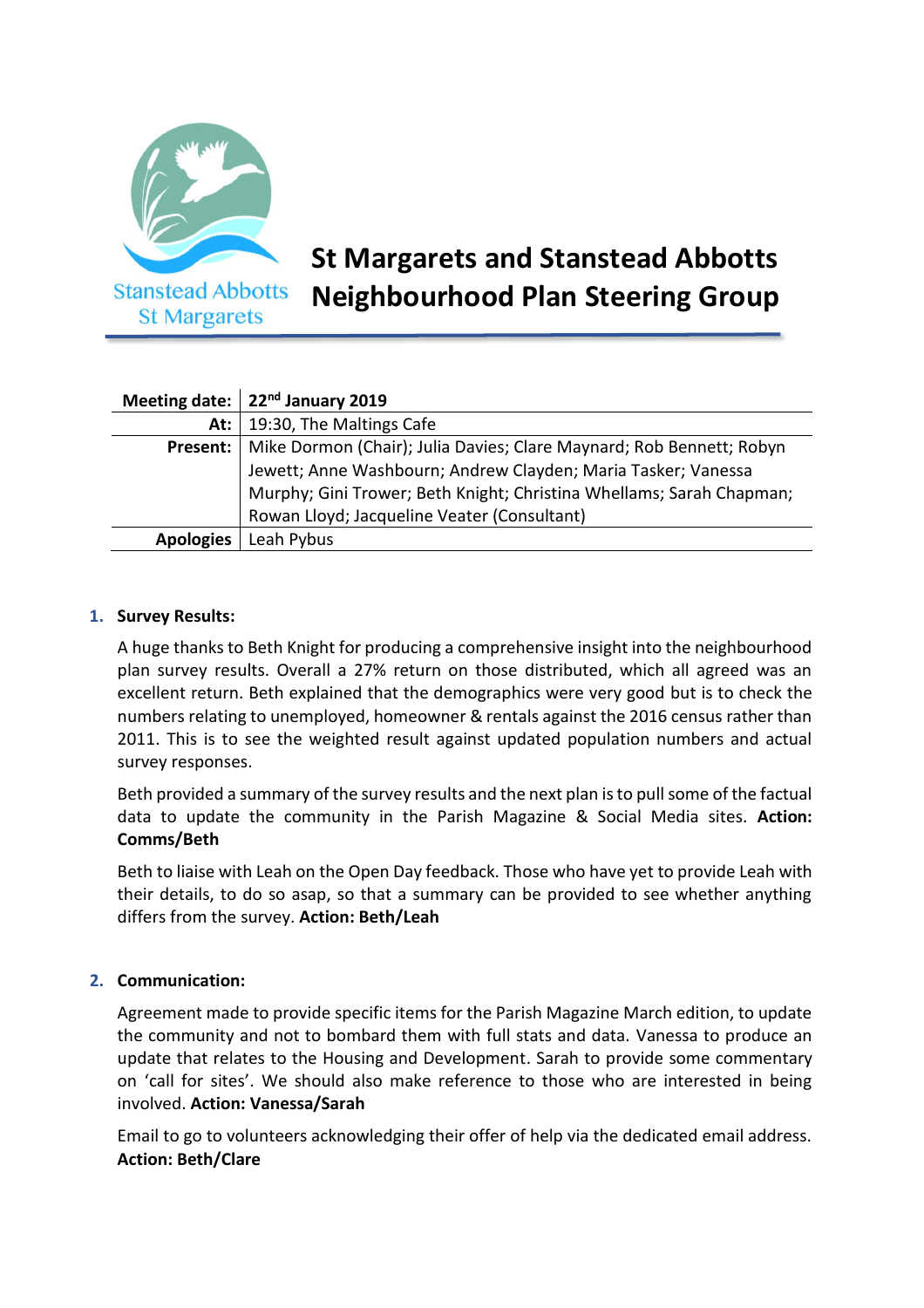

# **St Margarets and Stanstead Abbotts Neighbourhood Plan Steering Group**

|                  | Meeting date: $\vert$ 22 <sup>nd</sup> January 2019                  |
|------------------|----------------------------------------------------------------------|
| At: $\vert$      | 19:30, The Maltings Cafe                                             |
| Present:         | Mike Dormon (Chair); Julia Davies; Clare Maynard; Rob Bennett; Robyn |
|                  | Jewett; Anne Washbourn; Andrew Clayden; Maria Tasker; Vanessa        |
|                  | Murphy; Gini Trower; Beth Knight; Christina Whellams; Sarah Chapman; |
|                  | Rowan Lloyd; Jacqueline Veater (Consultant)                          |
| <b>Apologies</b> | Leah Pybus                                                           |

## **1. Survey Results:**

A huge thanks to Beth Knight for producing a comprehensive insight into the neighbourhood plan survey results. Overall a 27% return on those distributed, which all agreed was an excellent return. Beth explained that the demographics were very good but is to check the numbers relating to unemployed, homeowner & rentals against the 2016 census rather than 2011. This is to see the weighted result against updated population numbers and actual survey responses.

Beth provided a summary of the survey results and the next plan is to pull some of the factual data to update the community in the Parish Magazine & Social Media sites. **Action: Comms/Beth**

Beth to liaise with Leah on the Open Day feedback. Those who have yet to provide Leah with their details, to do so asap, so that a summary can be provided to see whether anything differs from the survey. **Action: Beth/Leah**

## **2. Communication:**

Agreement made to provide specific items for the Parish Magazine March edition, to update the community and not to bombard them with full stats and data. Vanessa to produce an update that relates to the Housing and Development. Sarah to provide some commentary on 'call for sites'. We should also make reference to those who are interested in being involved. **Action: Vanessa/Sarah**

Email to go to volunteers acknowledging their offer of help via the dedicated email address. **Action: Beth/Clare**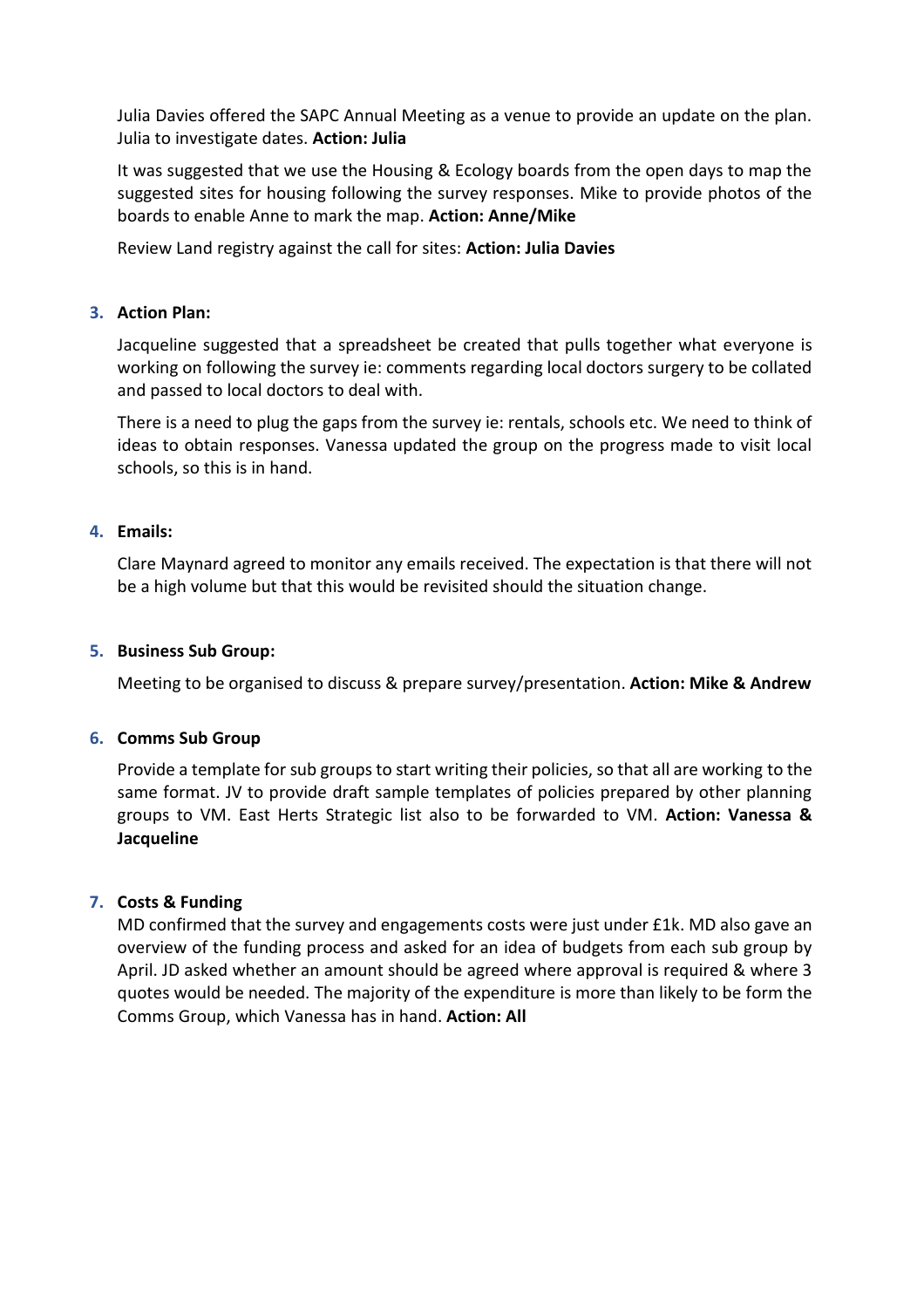Julia Davies offered the SAPC Annual Meeting as a venue to provide an update on the plan. Julia to investigate dates. **Action: Julia**

It was suggested that we use the Housing & Ecology boards from the open days to map the suggested sites for housing following the survey responses. Mike to provide photos of the boards to enable Anne to mark the map. **Action: Anne/Mike**

Review Land registry against the call for sites: **Action: Julia Davies**

#### **3. Action Plan:**

Jacqueline suggested that a spreadsheet be created that pulls together what everyone is working on following the survey ie: comments regarding local doctors surgery to be collated and passed to local doctors to deal with.

There is a need to plug the gaps from the survey ie: rentals, schools etc. We need to think of ideas to obtain responses. Vanessa updated the group on the progress made to visit local schools, so this is in hand.

#### **4. Emails:**

Clare Maynard agreed to monitor any emails received. The expectation is that there will not be a high volume but that this would be revisited should the situation change.

#### **5. Business Sub Group:**

Meeting to be organised to discuss & prepare survey/presentation. **Action: Mike & Andrew**

#### **6. Comms Sub Group**

Provide a template for sub groups to start writing their policies, so that all are working to the same format. JV to provide draft sample templates of policies prepared by other planning groups to VM. East Herts Strategic list also to be forwarded to VM. **Action: Vanessa & Jacqueline**

## **7. Costs & Funding**

MD confirmed that the survey and engagements costs were just under £1k. MD also gave an overview of the funding process and asked for an idea of budgets from each sub group by April. JD asked whether an amount should be agreed where approval is required & where 3 quotes would be needed. The majority of the expenditure is more than likely to be form the Comms Group, which Vanessa has in hand. **Action: All**